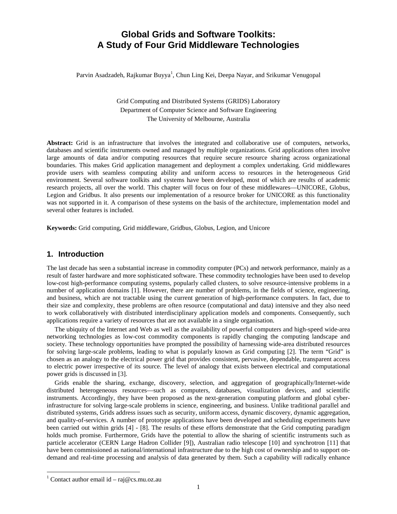# **Global Grids and Software Toolkits: A Study of Four Grid Middleware Technologies**

Parvin Asadzadeh, Rajkumar Buyya<sup>1</sup>, Chun Ling Kei, Deepa Nayar, and Srikumar Venugopal

Grid Computing and Distributed Systems (GRIDS) Laboratory Department of Computer Science and Software Engineering The University of Melbourne, Australia

**Abstract:** Grid is an infrastructure that involves the integrated and collaborative use of computers, networks, databases and scientific instruments owned and managed by multiple organizations. Grid applications often involve large amounts of data and/or computing resources that require secure resource sharing across organizational boundaries. This makes Grid application management and deployment a complex undertaking. Grid middlewares provide users with seamless computing ability and uniform access to resources in the heterogeneous Grid environment. Several software toolkits and systems have been developed, most of which are results of academic research projects, all over the world. This chapter will focus on four of these middlewares—UNICORE, Globus, Legion and Gridbus. It also presents our implementation of a resource broker for UNICORE as this functionality was not supported in it. A comparison of these systems on the basis of the architecture, implementation model and several other features is included.

**Keywords:** Grid computing, Grid middleware, Gridbus, Globus, Legion, and Unicore

### **1. Introduction**

The last decade has seen a substantial increase in commodity computer (PCs) and network performance, mainly as a result of faster hardware and more sophisticated software. These commodity technologies have been used to develop low-cost high-performance computing systems, popularly called clusters, to solve resource-intensive problems in a number of application domains [1]. However, there are number of problems, in the fields of science, engineering, and business, which are not tractable using the current generation of high-performance computers. In fact, due to their size and complexity, these problems are often resource (computational and data) intensive and they also need to work collaboratively with distributed interdisciplinary application models and components. Consequently, such applications require a variety of resources that are not available in a single organisation.

The ubiquity of the Internet and Web as well as the availability of powerful computers and high-speed wide-area networking technologies as low-cost commodity components is rapidly changing the computing landscape and society. These technology opportunities have prompted the possibility of harnessing wide-area distributed resources for solving large-scale problems, leading to what is popularly known as Grid computing [2]. The term "Grid" is chosen as an analogy to the electrical power grid that provides consistent, pervasive, dependable, transparent access to electric power irrespective of its source. The level of analogy that exists between electrical and computational power grids is discussed in [3].

Grids enable the sharing, exchange, discovery, selection, and aggregation of geographically/Internet-wide distributed heterogeneous resources—such as computers, databases, visualization devices, and scientific instruments. Accordingly, they have been proposed as the next-generation computing platform and global cyberinfrastructure for solving large-scale problems in science, engineering, and business. Unlike traditional parallel and distributed systems, Grids address issues such as security, uniform access, dynamic discovery, dynamic aggregation, and quality-of-services. A number of prototype applications have been developed and scheduling experiments have been carried out within grids [4] - [8]. The results of these efforts demonstrate that the Grid computing paradigm holds much promise. Furthermore, Grids have the potential to allow the sharing of scientific instruments such as particle accelerator (CERN Large Hadron Collider [9]), Australian radio telescope [10] and synchrotron [11] that have been commissioned as national/international infrastructure due to the high cost of ownership and to support ondemand and real-time processing and analysis of data generated by them. Such a capability will radically enhance

 $\overline{a}$ 

<sup>&</sup>lt;sup>1</sup> Contact author email id – raj@cs.mu.oz.au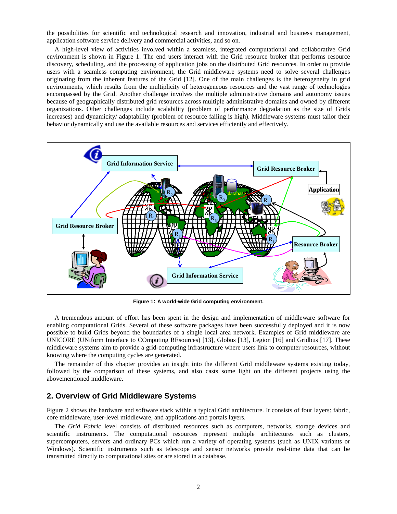the possibilities for scientific and technological research and innovation, industrial and business management, application software service delivery and commercial activities, and so on.

A high-level view of activities involved within a seamless, integrated computational and collaborative Grid environment is shown in Figure 1. The end users interact with the Grid resource broker that performs resource discovery, scheduling, and the processing of application jobs on the distributed Grid resources. In order to provide users with a seamless computing environment, the Grid middleware systems need to solve several challenges originating from the inherent features of the Grid [12]. One of the main challenges is the heterogeneity in grid environments, which results from the multiplicity of heterogeneous resources and the vast range of technologies encompassed by the Grid. Another challenge involves the multiple administrative domains and autonomy issues because of geographically distributed grid resources across multiple administrative domains and owned by different organizations. Other challenges include scalability (problem of performance degradation as the size of Grids increases) and dynamicity/ adaptability (problem of resource failing is high). Middleware systems must tailor their behavior dynamically and use the available resources and services efficiently and effectively.



**Figure 1: A world-wide Grid computing environment.**

A tremendous amount of effort has been spent in the design and implementation of middleware software for enabling computational Grids. Several of these software packages have been successfully deployed and it is now possible to build Grids beyond the boundaries of a single local area network. Examples of Grid middleware are UNICORE (UNiform Interface to COmputing REsources) [13], Globus [13], Legion [16] and Gridbus [17]. These middleware systems aim to provide a grid-computing infrastructure where users link to computer resources, without knowing where the computing cycles are generated.

The remainder of this chapter provides an insight into the different Grid middleware systems existing today, followed by the comparison of these systems, and also casts some light on the different projects using the abovementioned middleware.

### **2. Overview of Grid Middleware Systems**

Figure 2 shows the hardware and software stack within a typical Grid architecture. It consists of four layers: fabric, core middleware, user-level middleware, and applications and portals layers.

The *Grid Fabric* level consists of distributed resources such as computers, networks, storage devices and scientific instruments. The computational resources represent multiple architectures such as clusters, supercomputers, servers and ordinary PCs which run a variety of operating systems (such as UNIX variants or Windows). Scientific instruments such as telescope and sensor networks provide real-time data that can be transmitted directly to computational sites or are stored in a database.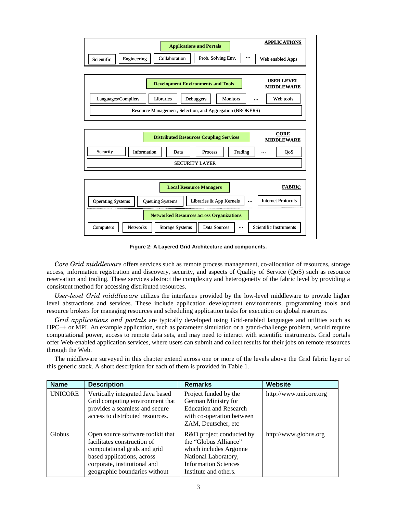

**Figure 2: A Layered Grid Architecture and components.**

*Core Grid middleware* offers services such as remote process management, co-allocation of resources, storage access, information registration and discovery, security, and aspects of Quality of Service (QoS) such as resource reservation and trading. These services abstract the complexity and heterogeneity of the fabric level by providing a consistent method for accessing distributed resources.

*User-level Grid middleware* utilizes the interfaces provided by the low-level middleware to provide higher level abstractions and services. These include application development environments, programming tools and resource brokers for managing resources and scheduling application tasks for execution on global resources.

*Grid applications and portals* are typically developed using Grid-enabled languages and utilities such as HPC++ or MPI. An example application, such as parameter simulation or a grand-challenge problem, would require computational power, access to remote data sets, and may need to interact with scientific instruments. Grid portals offer Web-enabled application services, where users can submit and collect results for their jobs on remote resources through the Web.

The middleware surveyed in this chapter extend across one or more of the levels above the Grid fabric layer of this generic stack. A short description for each of them is provided in Table 1.

| <b>Name</b>    | <b>Description</b>                                                                                                                                                                              | <b>Remarks</b>                                                                                                                                              | <b>Website</b>         |
|----------------|-------------------------------------------------------------------------------------------------------------------------------------------------------------------------------------------------|-------------------------------------------------------------------------------------------------------------------------------------------------------------|------------------------|
| <b>UNICORE</b> | Vertically integrated Java based<br>Grid computing environment that<br>provides a seamless and secure<br>access to distributed resources.                                                       | Project funded by the<br>German Ministry for<br><b>Education and Research</b><br>with co-operation between<br>ZAM, Deutscher, etc                           | http://www.unicore.org |
| Globus         | Open source software toolkit that<br>facilitates construction of<br>computational grids and grid<br>based applications, across<br>corporate, institutional and<br>geographic boundaries without | R&D project conducted by<br>the "Globus Alliance"<br>which includes Argonne<br>National Laboratory,<br><b>Information Sciences</b><br>Institute and others. | http://www.globus.org  |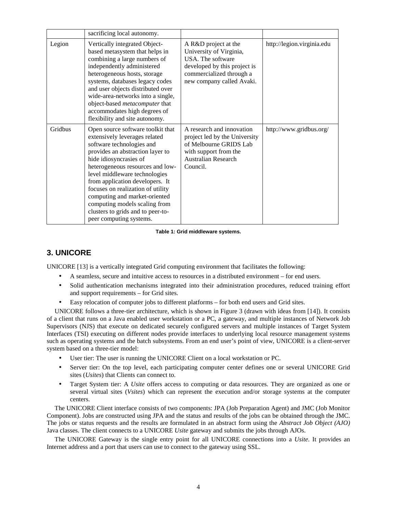|         | sacrificing local autonomy.                                                                                                                                                                                                                                                                                                                                                                                                                  |                                                                                                                                                               |                            |
|---------|----------------------------------------------------------------------------------------------------------------------------------------------------------------------------------------------------------------------------------------------------------------------------------------------------------------------------------------------------------------------------------------------------------------------------------------------|---------------------------------------------------------------------------------------------------------------------------------------------------------------|----------------------------|
| Legion  | Vertically integrated Object-<br>based metasystem that helps in<br>combining a large numbers of<br>independently administered<br>heterogeneous hosts, storage<br>systems, databases legacy codes<br>and user objects distributed over<br>wide-area-networks into a single,<br>object-based metacomputer that<br>accommodates high degrees of<br>flexibility and site autonomy.                                                               | A R&D project at the<br>University of Virginia,<br>USA. The software<br>developed by this project is<br>commercialized through a<br>new company called Avaki. | http://legion.virginia.edu |
| Gridbus | Open source software toolkit that<br>extensively leverages related<br>software technologies and<br>provides an abstraction layer to<br>hide idiosyncrasies of<br>heterogeneous resources and low-<br>level middleware technologies<br>from application developers. It<br>focuses on realization of utility<br>computing and market-oriented<br>computing models scaling from<br>clusters to grids and to peer-to-<br>peer computing systems. | A research and innovation<br>project led by the University<br>of Melbourne GRIDS Lab<br>with support from the<br><b>Australian Research</b><br>Council.       | http://www.gridbus.org/    |

**Table 1: Grid middleware systems.**

# **3. UNICORE**

UNICORE [13] is a vertically integrated Grid computing environment that facilitates the following:

- A seamless, secure and intuitive access to resources in a distributed environment for end users.
- Solid authentication mechanisms integrated into their administration procedures, reduced training effort and support requirements – for Grid sites.
- Easy relocation of computer jobs to different platforms for both end users and Grid sites.

UNICORE follows a three-tier architecture, which is shown in Figure 3 (drawn with ideas from [14]). It consists of a client that runs on a Java enabled user workstation or a PC, a gateway, and multiple instances of Network Job Supervisors (NJS) that execute on dedicated securely configured servers and multiple instances of Target System Interfaces (TSI) executing on different nodes provide interfaces to underlying local resource management systems such as operating systems and the batch subsystems. From an end user's point of view, UNICORE is a client-server system based on a three-tier model:

- User tier: The user is running the UNICORE Client on a local workstation or PC.
- Server tier: On the top level, each participating computer center defines one or several UNICORE Grid sites (*Usites*) that Clients can connect to.
- Target System tier: A *Usite* offers access to computing or data resources. They are organized as one or several virtual sites (*Vsites*) which can represent the execution and/or storage systems at the computer centers.

The UNICORE Client interface consists of two components: JPA (Job Preparation Agent) and JMC (Job Monitor Component). Jobs are constructed using JPA and the status and results of the jobs can be obtained through the JMC. The jobs or status requests and the results are formulated in an abstract form using the *Abstract Job Object (AJO)* Java classes. The client connects to a UNICORE *Usite* gateway and submits the jobs through AJOs.

The UNICORE Gateway is the single entry point for all UNICORE connections into a *Usite*. It provides an Internet address and a port that users can use to connect to the gateway using SSL.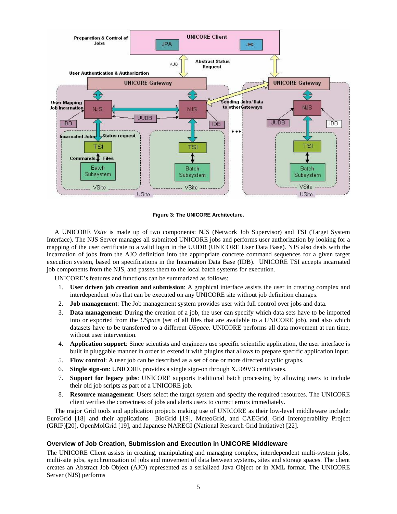

**Figure 3: The UNICORE Architecture.**

A UNICORE *Vsite* is made up of two components: NJS (Network Job Supervisor) and TSI (Target System Interface). The NJS Server manages all submitted UNICORE jobs and performs user authorization by looking for a mapping of the user certificate to a valid login in the UUDB (UNICORE User Data Base). NJS also deals with the incarnation of jobs from the AJO definition into the appropriate concrete command sequences for a given target execution system, based on specifications in the Incarnation Data Base (IDB). UNICORE TSI accepts incarnated job components from the NJS, and passes them to the local batch systems for execution.

UNICORE's features and functions can be summarized as follows:

- 1. **User driven job creation and submission**: A graphical interface assists the user in creating complex and interdependent jobs that can be executed on any UNICORE site without job definition changes.
- 2. **Job management**: The Job management system provides user with full control over jobs and data.
- 3. **Data management**: During the creation of a job, the user can specify which data sets have to be imported into or exported from the *USpace* (set of all files that are available to a UNICORE job), and also which datasets have to be transferred to a different *USpace*. UNICORE performs all data movement at run time, without user intervention.
- 4. **Application support**: Since scientists and engineers use specific scientific application, the user interface is built in pluggable manner in order to extend it with plugins that allows to prepare specific application input.
- 5. **Flow control**: A user job can be described as a set of one or more directed acyclic graphs.
- 6. **Single sign-on**: UNICORE provides a single sign-on through X.509V3 certificates.
- 7. **Support for legacy jobs**: UNICORE supports traditional batch processing by allowing users to include their old job scripts as part of a UNICORE job.
- 8. **Resource management**: Users select the target system and specify the required resources. The UNICORE client verifies the correctness of jobs and alerts users to correct errors immediately.

The major Grid tools and application projects making use of UNICORE as their low-level middleware include: EuroGrid [18] and their applications—BioGrid [19], MeteoGrid, and CAEGrid, Grid Interoperability Project (GRIP)[20], OpenMolGrid [19], and Japanese NAREGI (National Research Grid Initiative) [22].

### **Overview of Job Creation, Submission and Execution in UNICORE Middleware**

The UNICORE Client assists in creating, manipulating and managing complex, interdependent multi-system jobs, multi-site jobs, synchronization of jobs and movement of data between systems, sites and storage spaces. The client creates an Abstract Job Object (AJO) represented as a serialized Java Object or in XML format. The UNICORE Server (NJS) performs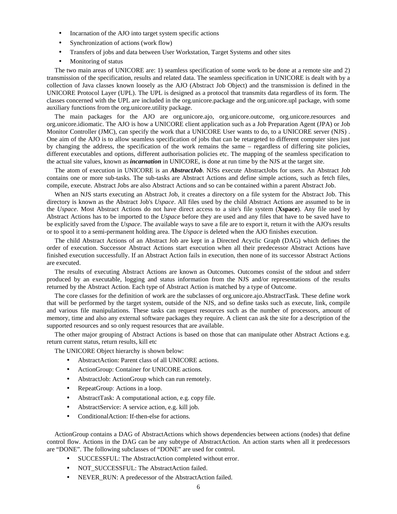- Incarnation of the AJO into target system specific actions
- Synchronization of actions (work flow)
- Transfers of jobs and data between User Workstation, Target Systems and other sites
- Monitoring of status

The two main areas of UNICORE are: 1) seamless specification of some work to be done at a remote site and 2) transmission of the specification, results and related data. The seamless specification in UNICORE is dealt with by a collection of Java classes known loosely as the AJO (Abstract Job Object) and the transmission is defined in the UNICORE Protocol Layer (UPL). The UPL is designed as a protocol that transmits data regardless of its form. The classes concerned with the UPL are included in the org.unicore.package and the org.unicore.upl package, with some auxiliary functions from the org.unicore.utility package.

The main packages for the AJO are org.unicore.ajo, org.unicore.outcome, org.unicore.resources and org.unicore.idiomatic. The AJO is how a UNICORE client application such as a Job Preparation Agent (JPA) or Job Monitor Controller (JMC), can specify the work that a UNICORE User wants to do, to a UNICORE server (NJS). One aim of the AJO is to allow seamless specification of jobs that can be retargeted to different computer sites just by changing the address, the specification of the work remains the same – regardless of differing site policies, different executables and options, different authorisation policies etc. The mapping of the seamless specification to the actual site values, known as *incarnation* in UNICORE, is done at run time by the NJS at the target site.

The atom of execution in UNICORE is an *AbstractJob*. NJSs execute AbstractJobs for users. An Abstract Job contains one or more sub-tasks. The sub-tasks are Abstract Actions and define simple actions, such as fetch files, compile, execute. Abstract Jobs are also Abstract Actions and so can be contained within a parent Abstract Job.

When an NJS starts executing an Abstract Job, it creates a directory on a file system for the Abstract Job. This directory is known as the Abstract Job's *Uspace*. All files used by the child Abstract Actions are assumed to be in the *Uspace*. Most Abstract Actions do not have direct access to a site's file system (**Xspace**). Any file used by Abstract Actions has to be imported to the *Uspace* before they are used and any files that have to be saved have to be explicitly saved from the *Uspace*. The available ways to save a file are to export it, return it with the AJO's results or to spool it to a semi-permanent holding area. The *Uspace* is deleted when the AJO finishes execution.

The child Abstract Actions of an Abstract Job are kept in a Directed Acyclic Graph (DAG) which defines the order of execution. Successor Abstract Actions start execution when all their predecessor Abstract Actions have finished execution successfully. If an Abstract Action fails in execution, then none of its successor Abstract Actions are executed.

The results of executing Abstract Actions are known as Outcomes. Outcomes consist of the stdout and stderr produced by an executable, logging and status information from the NJS and/or representations of the results returned by the Abstract Action. Each type of Abstract Action is matched by a type of Outcome.

The core classes for the definition of work are the subclasses of org.unicore.ajo.AbstractTask. These define work that will be performed by the target system, outside of the NJS, and so define tasks such as execute, link, compile and various file manipulations. These tasks can request resources such as the number of processors, amount of memory, time and also any external software packages they require. A client can ask the site for a description of the supported resources and so only request resources that are available.

The other major grouping of Abstract Actions is based on those that can manipulate other Abstract Actions e.g. return current status, return results, kill etc

The UNICORE Object hierarchy is shown below:

- AbstractAction: Parent class of all UNICORE actions.
- ActionGroup: Container for UNICORE actions.
- AbstractJob: ActionGroup which can run remotely.
- RepeatGroup: Actions in a loop.
- AbstractTask: A computational action, e.g. copy file.
- AbstractService: A service action, e.g. kill job.
- ConditionalAction: If-then-else for actions.

ActionGroup contains a DAG of AbstractActions which shows dependencies between actions (nodes) that define control flow. Actions in the DAG can be any subtype of AbstractAction. An action starts when all it predecessors are "DONE". The following subclasses of "DONE" are used for control.

- SUCCESSFUL: The AbstractAction completed without error.
- NOT\_SUCCESSFUL: The AbstractAction failed.
- NEVER\_RUN: A predecessor of the AbstractAction failed.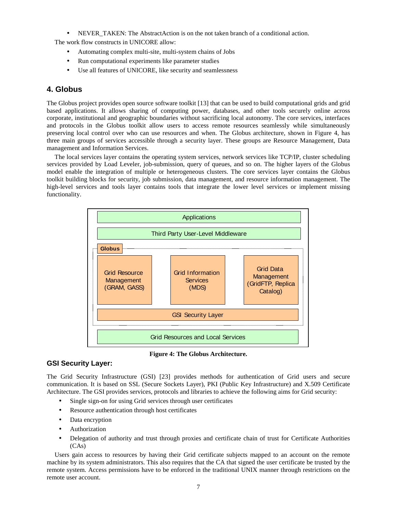• NEVER TAKEN: The AbstractAction is on the not taken branch of a conditional action.

The work flow constructs in UNICORE allow:

- Automating complex multi-site, multi-system chains of Jobs
- Run computational experiments like parameter studies
- Use all features of UNICORE, like security and seamlessness

# **4. Globus**

The Globus project provides open source software toolkit [13] that can be used to build computational grids and grid based applications. It allows sharing of computing power, databases, and other tools securely online across corporate, institutional and geographic boundaries without sacrificing local autonomy. The core services, interfaces and protocols in the Globus toolkit allow users to access remote resources seamlessly while simultaneously preserving local control over who can use resources and when. The Globus architecture, shown in Figure 4, has three main groups of services accessible through a security layer. These groups are Resource Management, Data management and Information Services.

The local services layer contains the operating system services, network services like TCP/IP, cluster scheduling services provided by Load Leveler, job-submission, query of queues, and so on. The higher layers of the Globus model enable the integration of multiple or heterogeneous clusters. The core services layer contains the Globus toolkit building blocks for security, job submission, data management, and resource information management. The high-level services and tools layer contains tools that integrate the lower level services or implement missing functionality.



**Figure 4: The Globus Architecture.**

# **GSI Security Layer:**

The Grid Security Infrastructure (GSI) [23] provides methods for authentication of Grid users and secure communication. It is based on SSL (Secure Sockets Layer), PKI (Public Key Infrastructure) and X.509 Certificate Architecture. The GSI provides services, protocols and libraries to achieve the following aims for Grid security:

- Single sign-on for using Grid services through user certificates
- Resource authentication through host certificates
- Data encryption
- Authorization
- Delegation of authority and trust through proxies and certificate chain of trust for Certificate Authorities (CAs)

Users gain access to resources by having their Grid certificate subjects mapped to an account on the remote machine by its system administrators. This also requires that the CA that signed the user certificate be trusted by the remote system. Access permissions have to be enforced in the traditional UNIX manner through restrictions on the remote user account.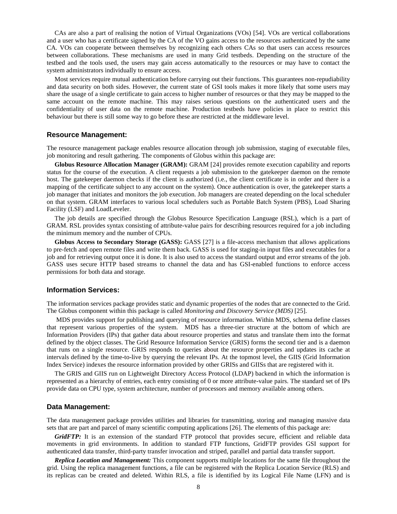CAs are also a part of realising the notion of Virtual Organizations (VOs) [54]. VOs are vertical collaborations and a user who has a certificate signed by the CA of the VO gains access to the resources authenticated by the same CA. VOs can cooperate between themselves by recognizing each others CAs so that users can access resources between collaborations. These mechanisms are used in many Grid testbeds. Depending on the structure of the testbed and the tools used, the users may gain access automatically to the resources or may have to contact the system administrators individually to ensure access.

Most services require mutual authentication before carrying out their functions. This guarantees non-repudiability and data security on both sides. However, the current state of GSI tools makes it more likely that some users may share the usage of a single certificate to gain access to higher number of resources or that they may be mapped to the same account on the remote machine. This may raises serious questions on the authenticated users and the confidentiality of user data on the remote machine. Production testbeds have policies in place to restrict this behaviour but there is still some way to go before these are restricted at the middleware level.

#### **Resource Management:**

The resource management package enables resource allocation through job submission, staging of executable files, job monitoring and result gathering. The components of Globus within this package are:

**Globus Resource Allocation Manager (GRAM):** GRAM [24] provides remote execution capability and reports status for the course of the execution. A client requests a job submission to the gatekeeper daemon on the remote host. The gatekeeper daemon checks if the client is authorized (i.e., the client certificate is in order and there is a mapping of the certificate subject to any account on the system). Once authentication is over, the gatekeeper starts a job manager that initiates and monitors the job execution. Job managers are created depending on the local scheduler on that system. GRAM interfaces to various local schedulers such as Portable Batch System (PBS), Load Sharing Facility (LSF) and LoadLeveler.

The job details are specified through the Globus Resource Specification Language (RSL), which is a part of GRAM. RSL provides syntax consisting of attribute-value pairs for describing resources required for a job including the minimum memory and the number of CPUs.

**Globus Access to Secondary Storage (GASS):** GASS [27] is a file-access mechanism that allows applications to pre-fetch and open remote files and write them back. GASS is used for staging-in input files and executables for a job and for retrieving output once it is done. It is also used to access the standard output and error streams of the job. GASS uses secure HTTP based streams to channel the data and has GSI-enabled functions to enforce access permissions for both data and storage.

#### **Information Services:**

The information services package provides static and dynamic properties of the nodes that are connected to the Grid. The Globus component within this package is called *Monitoring and Discovery Service (MDS)* [25].

MDS provides support for publishing and querying of resource information. Within MDS, schema define classes that represent various properties of the system. MDS has a three-tier structure at the bottom of which are Information Providers (IPs) that gather data about resource properties and status and translate them into the format defined by the object classes. The Grid Resource Information Service (GRIS) forms the second tier and is a daemon that runs on a single resource. GRIS responds to queries about the resource properties and updates its cache at intervals defined by the time-to-live by querying the relevant IPs. At the topmost level, the GIIS (Grid Information Index Service) indexes the resource information provided by other GRISs and GIISs that are registered with it.

The GRIS and GIIS run on Lightweight Directory Access Protocol (LDAP) backend in which the information is represented as a hierarchy of entries, each entry consisting of 0 or more attribute-value pairs. The standard set of IPs provide data on CPU type, system architecture, number of processors and memory available among others.

#### **Data Management:**

The data management package provides utilities and libraries for transmitting, storing and managing massive data sets that are part and parcel of many scientific computing applications [26]. The elements of this package are:

*GridFTP*: It is an extension of the standard FTP protocol that provides secure, efficient and reliable data movements in grid environments. In addition to standard FTP functions, GridFTP provides GSI support for authenticated data transfer, third-party transfer invocation and striped, parallel and partial data transfer support.

*Replica Location and Management:* This component supports multiple locations for the same file throughout the grid. Using the replica management functions, a file can be registered with the Replica Location Service (RLS) and its replicas can be created and deleted. Within RLS, a file is identified by its Logical File Name (LFN) and is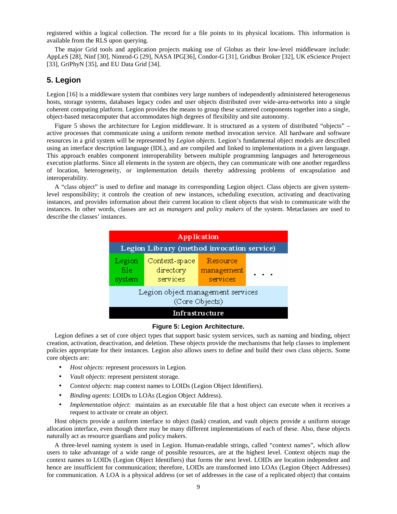registered within a logical collection. The record for a file points to its physical locations. This information is available from the RLS upon querying.

The major Grid tools and application projects making use of Globus as their low-level middleware include: AppLeS [28], Ninf [30], Nimrod-G [29], NASA IPG[36], Condor-G [31], Gridbus Broker [32], UK eScience Project [33], GriPhyN [35], and EU Data Grid [34].

# **5. Legion**

Legion [16] is a middleware system that combines very large numbers of independently administered heterogeneous hosts, storage systems, databases legacy codes and user objects distributed over wide-area-networks into a single coherent computing platform. Legion provides the means to group these scattered components together into a single, object-based metacomputer that accommodates high degrees of flexibility and site autonomy.

Figure 5 shows the architecture for Legion middleware. It is structured as a system of distributed "objects" – active processes that communicate using a uniform remote method invocation service. All hardware and software resources in a grid system will be represented by *Legion objects.* Legion's fundamental object models are described using an interface description language (IDL), and are compiled and linked to implementations in a given language. This approach enables component interoperability between multiple programming languages and heterogeneous execution platforms. Since all elements in the system are objects, they can communicate with one another regardless of location, heterogeneity, or implementation details thereby addressing problems of encapsulation and interoperability.

A "class object" is used to define and manage its corresponding Legion object. Class objects are given systemlevel responsibility; it controls the creation of new instances, scheduling execution, activating and deactivating instances, and provides information about their current location to client objects that wish to communicate with the instances. In other words, classes are act as *managers* and *policy makers* of the system. Metaclasses are used to describe the classes' instances.

| Application                                         |                                        |                                    |  |  |
|-----------------------------------------------------|----------------------------------------|------------------------------------|--|--|
| Legion Library (method invocation service)          |                                        |                                    |  |  |
| Legion<br>file<br>system                            | Context-space<br>directory<br>services | Resource<br>management<br>services |  |  |
| Legion object management services<br>(Core Objects) |                                        |                                    |  |  |
| Infrastructure                                      |                                        |                                    |  |  |

#### **Figure 5: Legion Architecture.**

Legion defines a set of core object types that support basic system services, such as naming and binding, object creation, activation, deactivation, and deletion. These objects provide the mechanisms that help classes to implement policies appropriate for their instances. Legion also allows users to define and build their own class objects. Some core objects are:

- *Host objects*: represent processors in Legion.
- *Vault objects*: represent persistent storage.
- *Context objects*: map context names to LOIDs (Legion Object Identifiers).
- *Binding agents*: LOIDs to LOAs (Legion Object Address).
- *Implementation object*: maintains as an executable file that a host object can execute when it receives a request to activate or create an object.

Host objects provide a uniform interface to object (task) creation, and vault objects provide a uniform storage allocation interface, even though there may be many different implementations of each of these. Also, these objects naturally act as resource guardians and policy makers.

A three-level naming system is used in Legion. Human-readable strings, called "context names", which allow users to take advantage of a wide range of possible resources, are at the highest level. Context objects map the context names to LOIDs (Legion Object Identifiers) that forms the next level. LOIDs are location independent and hence are insufficient for communication; therefore, LOIDs are transformed into LOAs (Legion Object Addresses) for communication. A LOA is a physical address (or set of addresses in the case of a replicated object) that contains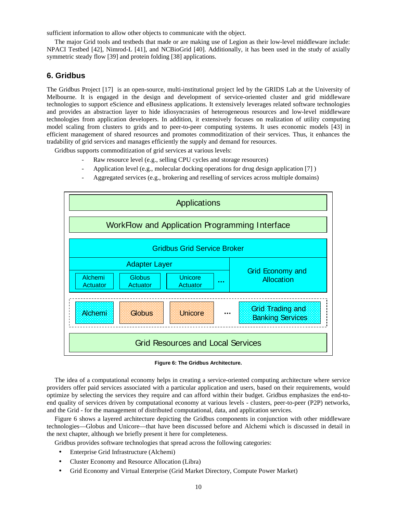sufficient information to allow other objects to communicate with the object.

The major Grid tools and testbeds that made or are making use of Legion as their low-level middleware include: NPACI Testbed [42], Nimrod-L [41], and NCBioGrid [40]. Additionally, it has been used in the study of axially symmetric steady flow [39] and protein folding [38] applications.

# **6. Gridbus**

The Gridbus Project [17] is an open-source, multi-institutional project led by the GRIDS Lab at the University of Melbourne. It is engaged in the design and development of service-oriented cluster and grid middleware technologies to support eScience and eBusiness applications. It extensively leverages related software technologies and provides an abstraction layer to hide idiosyncrasies of heterogeneous resources and low-level middleware technologies from application developers. In addition, it extensively focuses on realization of utility computing model scaling from clusters to grids and to peer-to-peer computing systems. It uses economic models [43] in efficient management of shared resources and promotes commoditization of their services. Thus, it enhances the tradability of grid services and manages efficiently the supply and demand for resources.

Gridbus supports commoditization of grid services at various levels:

- Raw resource level (e.g., selling CPU cycles and storage resources)
- Application level (e.g., molecular docking operations for drug design application [7] )
- Aggregated services (e.g., brokering and reselling of services across multiple domains)



**Figure 6: The Gridbus Architecture.**

The idea of a computational economy helps in creating a service-oriented computing architecture where service providers offer paid services associated with a particular application and users, based on their requirements, would optimize by selecting the services they require and can afford within their budget. Gridbus emphasizes the end-toend quality of services driven by computational economy at various levels - clusters, peer-to-peer (P2P) networks, and the Grid - for the management of distributed computational, data, and application services.

Figure 6 shows a layered architecture depicting the Gridbus components in conjunction with other middleware technologies—Globus and Unicore—that have been discussed before and Alchemi which is discussed in detail in the next chapter, although we briefly present it here for completeness.

Gridbus provides software technologies that spread across the following categories:

- Enterprise Grid Infrastructure (Alchemi)
- Cluster Economy and Resource Allocation (Libra)
- Grid Economy and Virtual Enterprise (Grid Market Directory, Compute Power Market)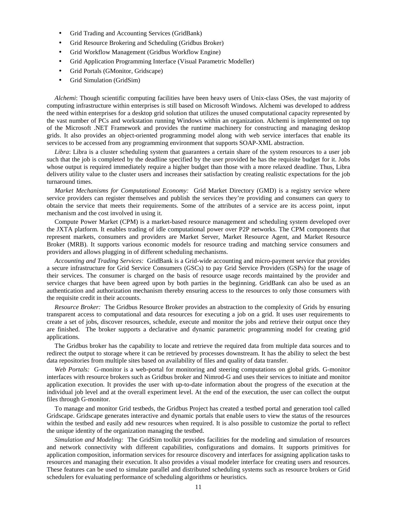- Grid Trading and Accounting Services (GridBank)
- Grid Resource Brokering and Scheduling (Gridbus Broker)
- Grid Workflow Management (Gridbus Workflow Engine)
- Grid Application Programming Interface (Visual Parametric Modeller)
- Grid Portals (GMonitor, Gridscape)
- Grid Simulation (GridSim)

*Alchemi*: Though scientific computing facilities have been heavy users of Unix-class OSes, the vast majority of computing infrastructure within enterprises is still based on Microsoft Windows. Alchemi was developed to address the need within enterprises for a desktop grid solution that utilizes the unused computational capacity represented by the vast number of PCs and workstation running Windows within an organization. Alchemi is implemented on top of the Microsoft .NET Framework and provides the runtime machinery for constructing and managing desktop grids. It also provides an object-oriented programming model along with web service interfaces that enable its services to be accessed from any programming environment that supports SOAP-XML abstraction.

*Libra*: Libra is a cluster scheduling system that guarantees a certain share of the system resources to a user job such that the job is completed by the deadline specified by the user provided he has the requisite budget for it. Jobs whose output is required immediately require a higher budget than those with a more relaxed deadline. Thus, Libra delivers utility value to the cluster users and increases their satisfaction by creating realistic expectations for the job turnaround times.

*Market Mechanisms for Computational Economy:* Grid Market Directory (GMD) is a registry service where service providers can register themselves and publish the services they're providing and consumers can query to obtain the service that meets their requirements. Some of the attributes of a service are its access point, input mechanism and the cost involved in using it.

Compute Power Market (CPM) is a market-based resource management and scheduling system developed over the JXTA platform. It enables trading of idle computational power over P2P networks. The CPM components that represent markets, consumers and providers are Market Server, Market Resource Agent, and Market Resource Broker (MRB). It supports various economic models for resource trading and matching service consumers and providers and allows plugging in of different scheduling mechanisms.

*Accounting and Trading Services:* GridBank is a Grid-wide accounting and micro-payment service that provides a secure infrastructure for Grid Service Consumers (GSCs) to pay Grid Service Providers (GSPs) for the usage of their services. The consumer is charged on the basis of resource usage records maintained by the provider and service charges that have been agreed upon by both parties in the beginning. GridBank can also be used as an authentication and authorization mechanism thereby ensuring access to the resources to only those consumers with the requisite credit in their accounts.

*Resource Broker:* The Gridbus Resource Broker provides an abstraction to the complexity of Grids by ensuring transparent access to computational and data resources for executing a job on a grid. It uses user requirements to create a set of jobs, discover resources, schedule, execute and monitor the jobs and retrieve their output once they are finished. The broker supports a declarative and dynamic parametric programming model for creating grid applications.

The Gridbus broker has the capability to locate and retrieve the required data from multiple data sources and to redirect the output to storage where it can be retrieved by processes downstream. It has the ability to select the best data repositories from multiple sites based on availability of files and quality of data transfer.

*Web Portals:* G-monitor is a web-portal for monitoring and steering computations on global grids. G-monitor interfaces with resource brokers such as Gridbus broker and Nimrod-G and uses their services to initiate and monitor application execution. It provides the user with up-to-date information about the progress of the execution at the individual job level and at the overall experiment level. At the end of the execution, the user can collect the output files through G-monitor.

To manage and monitor Grid testbeds, the Gridbus Project has created a testbed portal and generation tool called Gridscape. Gridscape generates interactive and dynamic portals that enable users to view the status of the resources within the testbed and easily add new resources when required. It is also possible to customize the portal to reflect the unique identity of the organization managing the testbed.

*Simulation and Modeling:* The GridSim toolkit provides facilities for the modeling and simulation of resources and network connectivity with different capabilities, configurations and domains. It supports primitives for application composition, information services for resource discovery and interfaces for assigning application tasks to resources and managing their execution. It also provides a visual modeler interface for creating users and resources. These features can be used to simulate parallel and distributed scheduling systems such as resource brokers or Grid schedulers for evaluating performance of scheduling algorithms or heuristics.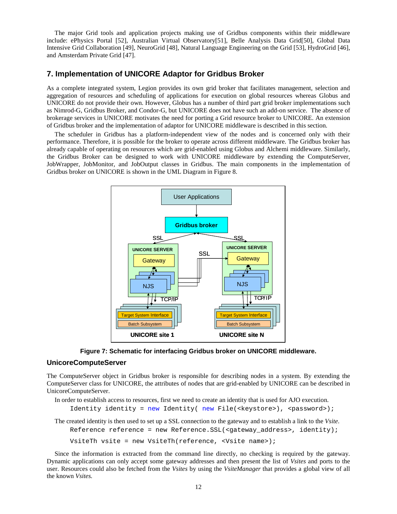The major Grid tools and application projects making use of Gridbus components within their middleware include: ePhysics Portal [52], Australian Virtual Observatory[51], Belle Analysis Data Grid[50], Global Data Intensive Grid Collaboration [49], NeuroGrid [48], Natural Language Engineering on the Grid [53], HydroGrid [46], and Amsterdam Private Grid [47].

# **7. Implementation of UNICORE Adaptor for Gridbus Broker**

As a complete integrated system, Legion provides its own grid broker that facilitates management, selection and aggregation of resources and scheduling of applications for execution on global resources whereas Globus and UNICORE do not provide their own. However, Globus has a number of third part grid broker implementations such as Nimrod-G, Gridbus Broker, and Condor-G, but UNICORE does not have such an add-on service. The absence of brokerage services in UNICORE motivates the need for porting a Grid resource broker to UNICORE. An extension of Gridbus broker and the implementation of adaptor for UNICORE middleware is described in this section.

The scheduler in Gridbus has a platform-independent view of the nodes and is concerned only with their performance. Therefore, it is possible for the broker to operate across different middleware. The Gridbus broker has already capable of operating on resources which are grid-enabled using Globus and Alchemi middleware. Similarly, the Gridbus Broker can be designed to work with UNICORE middleware by extending the ComputeServer, JobWrapper, JobMonitor, and JobOutput classes in Gridbus. The main components in the implementation of Gridbus broker on UNICORE is shown in the UML Diagram in Figure 8.



**Figure 7: Schematic for interfacing Gridbus broker on UNICORE middleware.**

#### **UnicoreComputeServer**

The ComputeServer object in Gridbus broker is responsible for describing nodes in a system. By extending the ComputeServer class for UNICORE, the attributes of nodes that are grid-enabled by UNICORE can be described in UnicoreComputeServer.

In order to establish access to resources, first we need to create an identity that is used for AJO execution.

Identity identity = new Identity( new File(<keystore>), <password>);

The created identity is then used to set up a SSL connection to the gateway and to establish a link to the *Vsite*. Reference reference = new Reference.SSL(<gateway\_address>, identity);

VsiteTh vsite = new VsiteTh(reference, <Vsite name>);

Since the information is extracted from the command line directly, no checking is required by the gateway. Dynamic applications can only accept some gateway addresses and then present the list of *Vsites* and ports to the user. Resources could also be fetched from the *Vsites* by using the *VsiteManager* that provides a global view of all the known *Vsites.*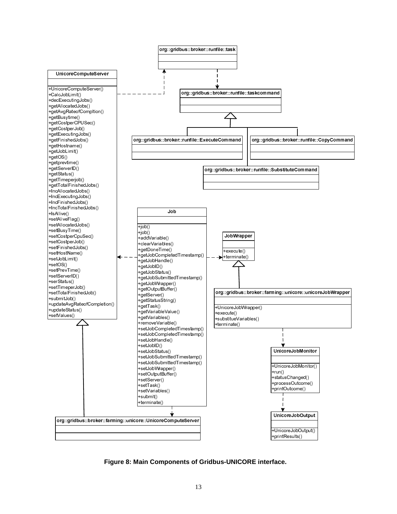

**Figure 8: Main Components of Gridbus-UNICORE interface.**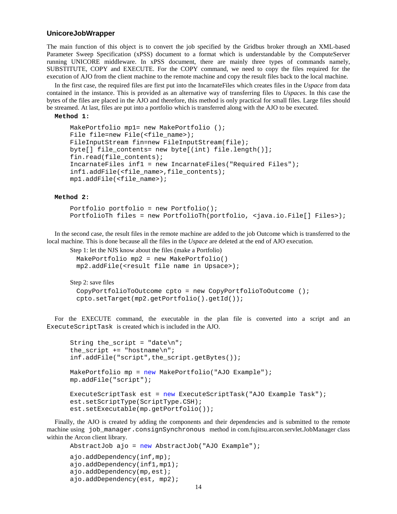#### **UnicoreJobWrapper**

The main function of this object is to convert the job specified by the Gridbus broker through an XML-based Parameter Sweep Specification (xPSS) document to a format which is understandable by the ComputeServer running UNICORE middleware. In xPSS document, there are mainly three types of commands namely, SUBSTITUTE, COPY and EXECUTE. For the COPY command, we need to copy the files required for the execution of AJO from the client machine to the remote machine and copy the result files back to the local machine.

In the first case, the required files are first put into the IncarnateFiles which creates files in the *Uspace* from data contained in the instance. This is provided as an alternative way of transferring files to *Uspaces*. In this case the bytes of the files are placed in the AJO and therefore, this method is only practical for small files. Large files should be streamed. At last, files are put into a portfolio which is transferred along with the AJO to be executed.

### **Method 1:**

```
MakePortfolio mp1= new MakePortfolio ();
File file=new File(<file_name>);
FileInputStream fin=new FileInputStream(file);
byte[] file_contents= new byte[(int) file.length()];
fin.read(file_contents);
IncarnateFiles inf1 = new IncarnateFiles("Required Files");
inf1.addFile(<file_name>,file_contents);
mp1.addFile(<file_name>);
```
#### **Method 2:**

```
Portfolio portfolio = new Portfolio();
PortfolioTh files = new PortfolioTh(portfolio, <java.io.File[] Files>);
```
In the second case, the result files in the remote machine are added to the job Outcome which is transferred to the local machine. This is done because all the files in the *Uspace* are deleted at the end of AJO execution.

Step 1: let the NJS know about the files (make a Portfolio)

MakePortfolio mp2 = new MakePortfolio() mp2.addFile(<result file name in Upsace>);

Step 2: save files

```
CopyPortfolioToOutcome cpto = new CopyPortfolioToOutcome ();
cpto.setTarget(mp2.getPortfolio().getId());
```
For the EXECUTE command, the executable in the plan file is converted into a script and an ExecuteScriptTask is created which is included in the AJO.

```
String the_script = "date\n";
the_script += "hostname\n";
inf.addFile("script", the script.getBytes());
MakePortfolio mp = new MakePortfolio("AJO Example");
mp.addFile("script");
ExecuteScriptTask est = new ExecuteScriptTask("AJO Example Task");
est.setScriptType(ScriptType.CSH);
est.setExecutable(mp.getPortfolio());
```
Finally, the AJO is created by adding the components and their dependencies and is submitted to the remote machine using job manager.consignSynchronous method in com.fujitsu.arcon.servlet.JobManager class within the Arcon client library.

```
AbstractJob ajo = new AbstractJob("AJO Example");
ajo.addDependency(inf,mp);
ajo.addDependency(inf1,mp1);
ajo.addDependency(mp,est);
ajo.addDependency(est, mp2);
```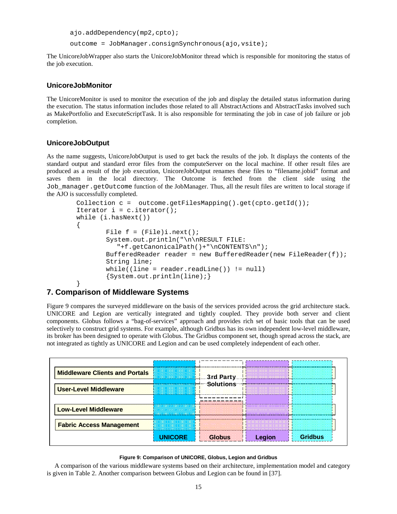ajo.addDependency(mp2,cpto);

outcome = JobManager.consignSynchronous(ajo,vsite);

The UnicoreJobWrapper also starts the UnicoreJobMonitor thread which is responsible for monitoring the status of the job execution.

### **UnicoreJobMonitor**

The UnicoreMonitor is used to monitor the execution of the job and display the detailed status information during the execution. The status information includes those related to all AbstractActions and AbstractTasks involved such as MakePortfolio and ExecuteScriptTask. It is also responsible for terminating the job in case of job failure or job completion.

### **UnicoreJobOutput**

As the name suggests, UnicoreJobOutput is used to get back the results of the job. It displays the contents of the standard output and standard error files from the computeServer on the local machine. If other result files are produced as a result of the job execution, UnicoreJobOutput renames these files to "filename.jobid" format and saves them in the local directory. The Outcome is fetched from the client side using the Job\_manager.getOutcome function of the JobManager. Thus, all the result files are written to local storage if the AJO is successfully completed.

```
Collection c = outcome.getFilesMapping().get(cpto.getId());
Iterator i = c.iterator();
while (i.hasNext())
{
       File f = (File)i.next();
       System.out.println("\n\nRESULT FILE:
          "+f.getCanonicalPath()+"\nCONTENTS\n");
       BufferedReader reader = new BufferedReader(new FileReader(f));
       String line;
       while((line = reader.readLine()) != null)
       {System.out.println(line);}
}
```
# **7. Comparison of Middleware Systems**

Figure 9 compares the surveyed middleware on the basis of the services provided across the grid architecture stack. UNICORE and Legion are vertically integrated and tightly coupled. They provide both server and client components. Globus follows a "bag-of-services" approach and provides rich set of basic tools that can be used selectively to construct grid systems. For example, although Gridbus has its own independent low-level middleware, its broker has been designed to operate with Globus. The Gridbus component set, though spread across the stack, are not integrated as tightly as UNICORE and Legion and can be used completely independent of each other.

| <b>Middleware Clients and Portals</b> |                | 3rd Party        |        |                |
|---------------------------------------|----------------|------------------|--------|----------------|
|                                       |                | <b>Solutions</b> |        |                |
| <b>User-Level Middleware</b>          |                |                  |        |                |
|                                       |                |                  |        |                |
| <b>Low-Level Middleware</b>           |                |                  |        |                |
| <b>Fabric Access Management</b>       |                |                  |        |                |
|                                       | <b>UNICORE</b> | <b>Globus</b>    | Legion | <b>Gridbus</b> |

#### **Figure 9: Comparison of UNICORE, Globus, Legion and Gridbus**

A comparison of the various middleware systems based on their architecture, implementation model and category is given in Table 2. Another comparison between Globus and Legion can be found in [37].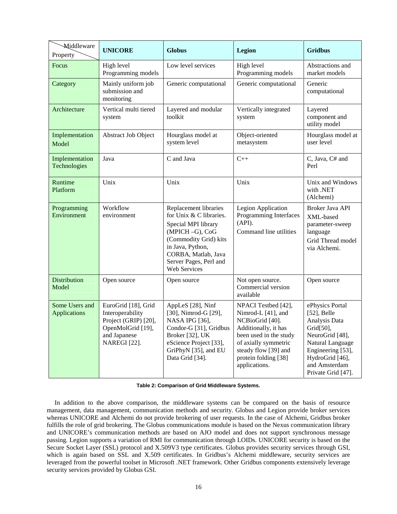| Middleware<br>Property                | <b>UNICORE</b>                                                                                                       | <b>Globus</b>                                                                                                                                                                                           | Legion                                                                                                                                                                                                  | <b>Gridbus</b>                                                                                                                                                                        |
|---------------------------------------|----------------------------------------------------------------------------------------------------------------------|---------------------------------------------------------------------------------------------------------------------------------------------------------------------------------------------------------|---------------------------------------------------------------------------------------------------------------------------------------------------------------------------------------------------------|---------------------------------------------------------------------------------------------------------------------------------------------------------------------------------------|
| Focus                                 | High level<br>Programming models                                                                                     | Low level services                                                                                                                                                                                      | High level<br>Programming models                                                                                                                                                                        | Abstractions and<br>market models                                                                                                                                                     |
| Category                              | Mainly uniform job<br>submission and<br>monitoring                                                                   | Generic computational                                                                                                                                                                                   | Generic computational                                                                                                                                                                                   | Generic<br>computational                                                                                                                                                              |
| Architecture                          | Vertical multi tiered<br>system                                                                                      | Layered and modular<br>toolkit                                                                                                                                                                          | Vertically integrated<br>system                                                                                                                                                                         | Layered<br>component and<br>utility model                                                                                                                                             |
| Implementation<br>Model               | Abstract Job Object                                                                                                  | Hourglass model at<br>system level                                                                                                                                                                      | Object-oriented<br>metasystem                                                                                                                                                                           | Hourglass model at<br>user level                                                                                                                                                      |
| Implementation<br>Technologies        | Java                                                                                                                 | C and Java                                                                                                                                                                                              | $C++$                                                                                                                                                                                                   | C, Java, C# and<br>Perl                                                                                                                                                               |
| Runtime<br>Platform                   | Unix                                                                                                                 | Unix                                                                                                                                                                                                    | Unix                                                                                                                                                                                                    | Unix and Windows<br>with .NET<br>(Alchemi)                                                                                                                                            |
| Programming<br>Environment            | Workflow<br>environment                                                                                              | Replacement libraries<br>for Unix & C libraries.<br>Special MPI library<br>(MPICH-G), CoG<br>(Commodity Grid) kits<br>in Java, Python,<br>CORBA, Matlab, Java<br>Server Pages, Perl and<br>Web Services | Legion Application<br>Programming Interfaces<br>(API).<br>Command line utilities                                                                                                                        | <b>Broker Java API</b><br>XML-based<br>parameter-sweep<br>language<br>Grid Thread model<br>via Alchemi.                                                                               |
| <b>Distribution</b><br>Model          | Open source                                                                                                          | Open source                                                                                                                                                                                             | Not open source.<br>Commercial version<br>available                                                                                                                                                     | Open source                                                                                                                                                                           |
| Some Users and<br><b>Applications</b> | EuroGrid [18], Grid<br>Interoperability<br>Project (GRIP) [20],<br>OpenMolGrid [19],<br>and Japanese<br>NAREGI [22]. | AppLeS [28], Ninf<br>[30], Nimrod-G [29],<br>NASA IPG [36],<br>Condor-G [31], Gridbus<br>Broker [32], UK<br>eScience Project [33],<br>GriPhyN [35], and EU<br>Data Grid [34].                           | NPACI Testbed [42],<br>Nimrod-L [41], and<br>NCBioGrid [40].<br>Additionally, it has<br>been used in the study<br>of axially symmetric<br>steady flow [39] and<br>protein folding [38]<br>applications. | ePhysics Portal<br>$[52]$ , Belle<br>Analysis Data<br>Grid[50],<br>NeuroGrid [48],<br>Natural Language<br>Engineering [53],<br>HydroGrid [46],<br>and Amsterdam<br>Private Grid [47]. |

#### **Table 2: Comparison of Grid Middleware Systems.**

In addition to the above comparison, the middleware systems can be compared on the basis of resource management, data management, communication methods and security. Globus and Legion provide broker services whereas UNICORE and Alchemi do not provide brokering of user requests. In the case of Alchemi, Gridbus broker fulfills the role of grid brokering. The Globus communications module is based on the Nexus communication library and UNICORE's communication methods are based on AJO model and does not support synchronous message passing. Legion supports a variation of RMI for communication through LOIDs. UNICORE security is based on the Secure Socket Layer (SSL) protocol and X.509V3 type certificates. Globus provides security services through GSI, which is again based on SSL and X.509 certificates. In Gridbus's Alchemi middleware, security services are leveraged from the powerful toolset in Microsoft .NET framework. Other Gridbus components extensively leverage security services provided by Globus GSI.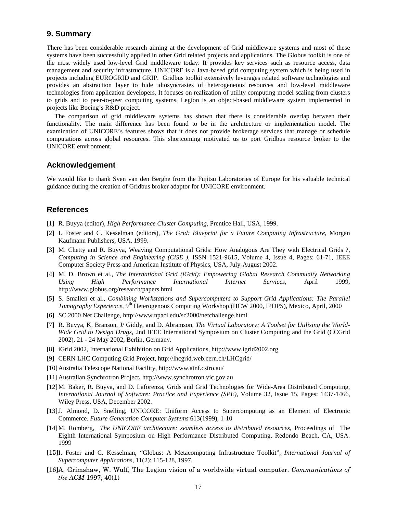### **9. Summary**

There has been considerable research aiming at the development of Grid middleware systems and most of these systems have been successfully applied in other Grid related projects and applications. The Globus toolkit is one of the most widely used low-level Grid middleware today. It provides key services such as resource access, data management and security infrastructure. UNICORE is a Java-based grid computing system which is being used in projects including EUROGRID and GRIP. Gridbus toolkit extensively leverages related software technologies and provides an abstraction layer to hide idiosyncrasies of heterogeneous resources and low-level middleware technologies from application developers. It focuses on realization of utility computing model scaling from clusters to grids and to peer-to-peer computing systems. Legion is an object-based middleware system implemented in projects like Boeing's R&D project.

The comparison of grid middleware systems has shown that there is considerable overlap between their functionality. The main difference has been found to be in the architecture or implementation model. The examination of UNICORE's features shows that it does not provide brokerage services that manage or schedule computations across global resources. This shortcoming motivated us to port Gridbus resource broker to the UNICORE environment.

### **Acknowledgement**

We would like to thank Sven van den Berghe from the Fujitsu Laboratories of Europe for his valuable technical guidance during the creation of Gridbus broker adaptor for UNICORE environment.

### **References**

- [1] R. Buyya (editor), *High Performance Cluster Computing*, Prentice Hall, USA, 1999.
- [2] I. Foster and C. Kesselman (editors), *The Grid: Blueprint for a Future Computing Infrastructure*, Morgan Kaufmann Publishers, USA, 1999.
- [3] M. Chetty and R. Buyya, Weaving Computational Grids: How Analogous Are They with Electrical Grids ?, *Computing in Science and Engineering (CiSE )*, ISSN 1521-9615, Volume 4, Issue 4, Pages: 61-71, IEEE Computer Society Press and American Institute of Physics, USA, July-August 2002.
- [4] M. D. Brown et al., *The International Grid (iGrid): Empowering Global Research Community Networking Using High Performance International Internet Services*, April 1999, http://www.globus.org/research/papers.html
- [5] S. Smallen et al., *Combining Workstations and Supercomputers to Support Grid Applications: The Parallel Tomography Experience*, 9 th Heterogenous Computing Workshop (HCW 2000, IPDPS)*,* Mexico, April, 2000
- [6] SC 2000 Net Challenge, http://www.npaci.edu/sc2000/netchallenge.html
- [7] R. Buyya, K. Branson, J/ Giddy, and D. Abramson, *The Virtual Laboratory: A Toolset for Utilising the World-Wide Grid to Design Drugs*, 2nd IEEE International Symposium on Cluster Computing and the Grid (CCGrid 2002), 21 - 24 May 2002, Berlin, Germany.
- [8] iGrid 2002, International Exhibition on Grid Applications, http://www.igrid2002.org
- [9] CERN LHC Computing Grid Project, http://lhcgrid.web.cern.ch/LHCgrid/
- [10]Australia Telescope National Facility, http://www.atnf.csiro.au/
- [11]Australian Synchrotron Project**,** http://www.synchrotron.vic.gov.au
- [12]M. Baker, R. Buyya, and D. Laforenza, Grids and Grid Technologies for Wide-Area Distributed Computing, *International Journal of Software: Practice and Experience (SPE)*, Volume 32, Issue 15, Pages: 1437-1466, Wiley Press, USA, December 2002.
- [13]J. Almond, D. Snelling, UNICORE: Uniform Access to Supercomputing as an Element of Electronic Commerce. *Future Generation Computer Systems* 613(1999), 1-10
- [14]M. Romberg, *The UNICORE architecture: seamless access to distributed resources*, Proceedings of The Eighth International Symposium on High Performance Distributed Computing, Redondo Beach, CA, USA. 1999
- [15]I. Foster and C. Kesselman, "Globus: A Metacomputing Infrastructure Toolkit", *International Journal of Supercomputer Applications*, 11(2): 115-128, 1997.
- [16]A. Grimshaw, W. Wulf, The Legion vision of a worldwide virtual computer. *Communications of the ACM* 1997; 40(1)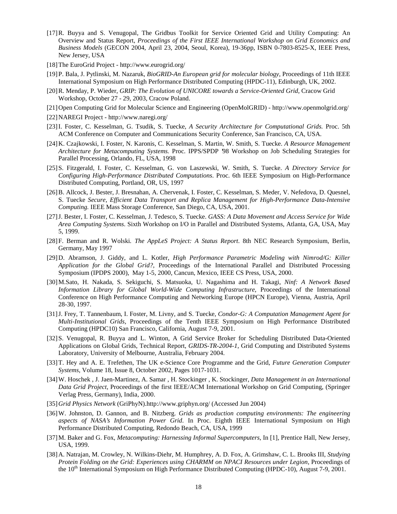- [17]R. Buyya and S. Venugopal, The Gridbus Toolkit for Service Oriented Grid and Utility Computing: An Overview and Status Report, *Proceedings of the First IEEE International Workshop on Grid Economics and Business Models* (GECON 2004, April 23, 2004, Seoul, Korea), 19-36pp, ISBN 0-7803-8525-X, IEEE Press, New Jersey, USA
- [18]The EuroGrid Project http://www.eurogrid.org/
- [19]P. Bala, J. Pytlinski, M. Nazaruk, *BioGRID-An European grid for molecular biology*, Proceedings of 11th IEEE International Symposium on High Performance Distributed Computing (HPDC-11), Edinburgh, UK, 2002.
- [20]R. Menday, P. Wieder, *GRIP: The Evolution of UNICORE towards a Service-Oriented Grid*, Cracow Grid Workshop, October 27 - 29, 2003, Cracow Poland.
- [21]Open Computing Grid for Molecular Science and Engineering (OpenMolGRID) http://www.openmolgrid.org/
- [22]NAREGI Project http://www.naregi.org/
- [23]I. Foster, C. Kesselman, G. Tsudik, S. Tuecke, *A Security Architecture for Computational Grids.* Proc. 5th ACM Conference on Computer and Communications Security Conference, San Francisco, CA, USA.
- [24]K. Czajkowski, I. Foster, N. Karonis, C. Kesselman, S. Martin, W. Smith, S. Tuecke. *A Resource Management Architecture for Metacomputing Systems.* Proc. IPPS/SPDP '98 Workshop on Job Scheduling Strategies for Parallel Processing, Orlando, FL, USA, 1998
- [25]S. Fitzgerald, I. Foster, C. Kesselman, G. von Laszewski, W. Smith, S. Tuecke. *A Directory Service for Configuring High-Performance Distributed Computations*. Proc. 6th IEEE Symposium on High-Performance Distributed Computing, Portland, OR, US, 1997
- [26]B. Allcock, J. Bester, J. Bresnahan, A. Chervenak, I. Foster, C. Kesselman, S. Meder, V. Nefedova, D. Quesnel, S. Tuecke *Secure, Efficient Data Transport and Replica Management for High-Performance Data-Intensive Computing.* IEEE Mass Storage Conference, San Diego, CA, USA, 2001.
- [27]J. Bester, I. Foster, C. Kesselman, J. Tedesco, S. Tuecke. *GASS: A Data Movement and Access Service for Wide Area Computing Systems*. Sixth Workshop on I/O in Parallel and Distributed Systems, Atlanta, GA, USA, May 5, 1999.
- [28]F. Berman and R. Wolski*. The AppLeS Project: A Status Report*. 8th NEC Research Symposium, Berlin, Germany, May 1997
- [29]D. Abramson, J. Giddy, and L. Kotler, *High Performance Parametric Modeling with Nimrod/G: Killer Application for the Global Grid?*, Proceedings of the International Parallel and Distributed Processing Symposium (IPDPS 2000), May 1-5, 2000, Cancun, Mexico, IEEE CS Press, USA, 2000.
- [30]M.Sato, H. Nakada, S. Sekiguchi, S. Matsuoka, U. Nagashima and H. Takagi, *Ninf: A Network Based Information Library for Global World-Wide Computing Infrastructure*, Proceedings of the International Conference on High Performance Computing and Networking Europe (HPCN Europe), Vienna, Austria, April 28-30, 1997.
- [31]J. Frey, T. Tannenbaum, I. Foster, M. Livny, and S. Tuecke, *Condor-G: A Computation Management Agent for Multi-Institutional Grids*, Proceedings of the Tenth IEEE Symposium on High Performance Distributed Computing (HPDC10) San Francisco, California, August 7-9, 2001.
- [32]S. Venugopal, R. Buyya and L. Winton, A Grid Service Broker for Scheduling Distributed Data-Oriented Applications on Global Grids, Technical Report, *GRIDS-TR-2004-1*, Grid Computing and Distributed Systems Laboratory, University of Melbourne, Australia, February 2004.
- [33]T. Hey and A. E. Trefethen, The UK e-Science Core Programme and the Grid, *Future Generation Computer Systems*, Volume 18, Issue 8, October 2002, Pages 1017-1031.
- [34]W. Hoschek , J. Jaen-Martinez, A. Samar , H. Stockinger , K. Stockinger, *Data Management in an International Data Grid Project*, Proceedings of the first IEEE/ACM International Workshop on Grid Computing, (Springer Verlag Press, Germany), India, 2000.
- [35]*Grid Physics Network* (GriPhyN).http://www.griphyn.org/ (Accessed Jun 2004)
- [36]W. Johnston, D. Gannon, and B. Nitzberg. *Grids as production computing environments: The engineering aspects of NASA's Information Power Grid*. In Proc. Eighth IEEE International Symposium on High Performance Distributed Computing, Redondo Beach, CA, USA, 1999
- [37]M. Baker and G. Fox, *Metacomputing: Harnessing Informal Supercomputers*, In [1], Prentice Hall, New Jersey, USA, 1999.
- [38]A. Natrajan, M. Crowley, N. Wilkins-Diehr, M. Humphrey, A. D. Fox, A. Grimshaw, C. L. Brooks III, *Studying Protein Folding on the Grid: Experiences using CHARMM on NPACI Resources under Legion*, Proceedings of the 10<sup>th</sup> International Symposium on High Performance Distributed Computing (HPDC-10), August 7-9, 2001.